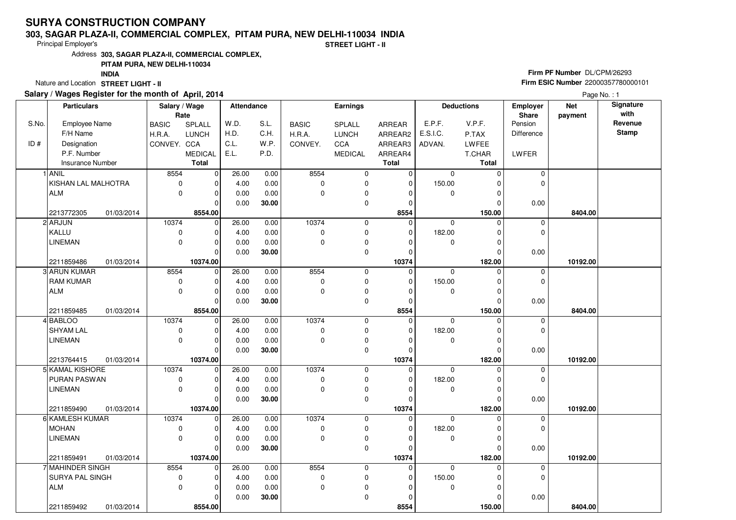# **SURYA CONSTRUCTION COMPANY**

#### **303, SAGAR PLAZA-II, COMMERCIAL COMPLEX, PITAM PURA, NEW DELHI-110034 INDIA**

Principal Employer's

**STREET LIGHT - II**

Address**303, SAGAR PLAZA-II, COMMERCIAL COMPLEX,**

## **PITAM PURA, NEW DELHI-110034**

**INDIA**

Nature and Location **STREET LIGHT - II** 

### **Salary / Wages Register for the month of April, 2014**

## **Firm PF Number** DL/CPM/26293 **Firm ESIC Number** <sup>22000357780000101</sup>

Page No. : 1

|       | <b>Particulars</b>  |            | Salary / Wage |                | Attendance |       | Earnings     |                |              | <b>Deductions</b> |          | Employer    | <b>Net</b> | Signature    |
|-------|---------------------|------------|---------------|----------------|------------|-------|--------------|----------------|--------------|-------------------|----------|-------------|------------|--------------|
|       |                     |            | Rate          |                |            |       |              |                |              |                   |          | Share       | payment    | with         |
| S.No. | Employee Name       |            | <b>BASIC</b>  | SPLALL         | W.D.       | S.L.  | <b>BASIC</b> | SPLALL         | ARREAR       | E.P.F.            | V.P.F.   | Pension     |            | Revenue      |
|       | F/H Name            |            | H.R.A.        | <b>LUNCH</b>   | H.D.       | C.H.  | H.R.A.       | <b>LUNCH</b>   | ARREAR2      | E.S.I.C.          | P.TAX    | Difference  |            | <b>Stamp</b> |
| ID#   | Designation         |            | CONVEY. CCA   |                | C.L.       | W.P.  | CONVEY.      | CCA            | ARREAR3      | ADVAN.            | LWFEE    |             |            |              |
|       | P.F. Number         |            |               | <b>MEDICAL</b> | E.L.       | P.D.  |              | <b>MEDICAL</b> | ARREAR4      |                   | T.CHAR   | LWFER       |            |              |
|       | Insurance Number    |            |               | <b>Total</b>   |            |       |              |                | <b>Total</b> |                   | Total    |             |            |              |
|       | 1 ANIL              |            | 8554          | $\mathbf 0$    | 26.00      | 0.00  | 8554         | $\mathbf 0$    | $\mathbf 0$  | $\mathbf 0$       | $\Omega$ | 0           |            |              |
|       | KISHAN LAL MALHOTRA |            | 0             | 0              | 4.00       | 0.00  | 0            | $\pmb{0}$      | $\mathbf 0$  | 150.00            | ŋ        | $\Omega$    |            |              |
|       | <b>ALM</b>          |            | $\mathbf 0$   | $\pmb{0}$      | 0.00       | 0.00  | 0            | $\pmb{0}$      | 0            | $\mathbf 0$       | 0        |             |            |              |
|       |                     |            |               | $\mathbf 0$    | 0.00       | 30.00 |              | $\mathbf 0$    | 0            |                   | $\Omega$ | 0.00        |            |              |
|       | 2213772305          | 01/03/2014 |               | 8554.00        |            |       |              |                | 8554         |                   | 150.00   |             | 8404.00    |              |
|       | 2 ARJUN             |            | 10374         | $\mathbf 0$    | 26.00      | 0.00  | 10374        | 0              | $\mathbf 0$  | 0                 | $\Omega$ | 0           |            |              |
|       | KALLU               |            | $\mathbf 0$   | $\mathbf 0$    | 4.00       | 0.00  | 0            | $\mathbf 0$    | $\mathbf 0$  | 182.00            | 0        | $\mathbf 0$ |            |              |
|       | <b>LINEMAN</b>      |            | $\mathbf 0$   | 0              | 0.00       | 0.00  | 0            | $\pmb{0}$      | 0            | $\mathbf 0$       | 0        |             |            |              |
|       |                     |            |               | $\mathbf 0$    | 0.00       | 30.00 |              | $\mathbf 0$    | 0            |                   | $\Omega$ | 0.00        |            |              |
|       | 2211859486          | 01/03/2014 |               | 10374.00       |            |       |              |                | 10374        |                   | 182.00   |             | 10192.00   |              |
|       | 3 ARUN KUMAR        |            | 8554          | $\mathbf 0$    | 26.00      | 0.00  | 8554         | 0              | $\mathbf 0$  | 0                 | O        | 0           |            |              |
|       | <b>RAM KUMAR</b>    |            | $\pmb{0}$     | 0              | 4.00       | 0.00  | 0            | $\mathbf 0$    | $\mathbf 0$  | 150.00            | 0        | $\mathbf 0$ |            |              |
|       | <b>ALM</b>          |            | $\mathbf 0$   | 0              | 0.00       | 0.00  | 0            | $\mathbf 0$    | 0            | 0                 | 0        |             |            |              |
|       |                     |            |               | $\mathbf 0$    | 0.00       | 30.00 |              | 0              | 0            |                   | $\Omega$ | 0.00        |            |              |
|       | 2211859485          | 01/03/2014 |               | 8554.00        |            |       |              |                | 8554         |                   | 150.00   |             | 8404.00    |              |
|       | 4 BABLOO            |            | 10374         | $\mathbf 0$    | 26.00      | 0.00  | 10374        | 0              | $\Omega$     | $\mathbf 0$       | $\Omega$ | $\mathbf 0$ |            |              |
|       | <b>SHYAM LAL</b>    |            | $\pmb{0}$     | 0              | 4.00       | 0.00  | $\pmb{0}$    | $\pmb{0}$      | $\mathbf 0$  | 182.00            | 0        | 0           |            |              |
|       | <b>LINEMAN</b>      |            | $\mathbf 0$   | $\mathbf 0$    | 0.00       | 0.00  | 0            | $\mathbf 0$    | $\mathbf 0$  | 0                 | 0        |             |            |              |
|       |                     |            |               | $\mathbf 0$    | 0.00       | 30.00 |              | 0              | $\mathbf 0$  |                   | $\Omega$ | 0.00        |            |              |
|       | 2213764415          | 01/03/2014 |               | 10374.00       |            |       |              |                | 10374        |                   | 182.00   |             | 10192.00   |              |
|       | 5 KAMAL KISHORE     |            | 10374         | $\mathbf 0$    | 26.00      | 0.00  | 10374        | $\mathbf 0$    | $\mathbf 0$  | $\Omega$          | 0        | $\pmb{0}$   |            |              |
|       | PURAN PASWAN        |            | $\pmb{0}$     | 0              | 4.00       | 0.00  | 0            | $\pmb{0}$      | 0            | 182.00            | 0        | 0           |            |              |
|       | <b>LINEMAN</b>      |            | $\mathbf 0$   | $\mathbf 0$    | 0.00       | 0.00  | $\mathbf 0$  | $\pmb{0}$      | 0            | $\mathbf{0}$      | $\Omega$ |             |            |              |
|       |                     |            |               | $\Omega$       | 0.00       | 30.00 |              | 0              | $\mathbf 0$  |                   | 0        | 0.00        |            |              |
|       | 2211859490          | 01/03/2014 |               | 10374.00       |            |       |              |                | 10374        |                   | 182.00   |             | 10192.00   |              |
|       | 6 KAMLESH KUMAR     |            | 10374         | $\mathbf 0$    | 26.00      | 0.00  | 10374        | $\pmb{0}$      | $\mathbf 0$  | $\mathbf 0$       | $\Omega$ | $\pmb{0}$   |            |              |
|       | <b>MOHAN</b>        |            | 0             | 0              | 4.00       | 0.00  | 0            | $\mathbf 0$    | $\mathbf 0$  | 182.00            | 0        | 0           |            |              |
|       | <b>LINEMAN</b>      |            | $\mathbf 0$   | $\mathbf 0$    | 0.00       | 0.00  | 0            | $\pmb{0}$      | $\mathbf 0$  | $\mathbf 0$       | $\Omega$ |             |            |              |
|       |                     |            |               | $\Omega$       | 0.00       | 30.00 |              | $\mathbf 0$    | $\Omega$     |                   | $\Omega$ | 0.00        |            |              |
|       | 2211859491          | 01/03/2014 |               | 10374.00       |            |       |              |                | 10374        |                   | 182.00   |             | 10192.00   |              |
|       | 7 MAHINDER SINGH    |            | 8554          | $\mathbf 0$    | 26.00      | 0.00  | 8554         | $\pmb{0}$      | 0            | $\mathbf 0$       | O        | 0           |            |              |
|       | SURYA PAL SINGH     |            | $\mathbf 0$   | $\mathbf 0$    | 4.00       | 0.00  | $\pmb{0}$    | 0              | $\mathbf 0$  | 150.00            | 0        | 0           |            |              |
|       | <b>ALM</b>          |            | $\mathbf 0$   | 0              | 0.00       | 0.00  | 0            | 0              | 0            | 0                 | 0        |             |            |              |
|       |                     |            |               | $\Omega$       | 0.00       | 30.00 |              | $\mathbf 0$    | 0            |                   |          | 0.00        |            |              |
|       | 2211859492          | 01/03/2014 |               | 8554.00        |            |       |              |                | 8554         |                   | 150.00   |             | 8404.00    |              |